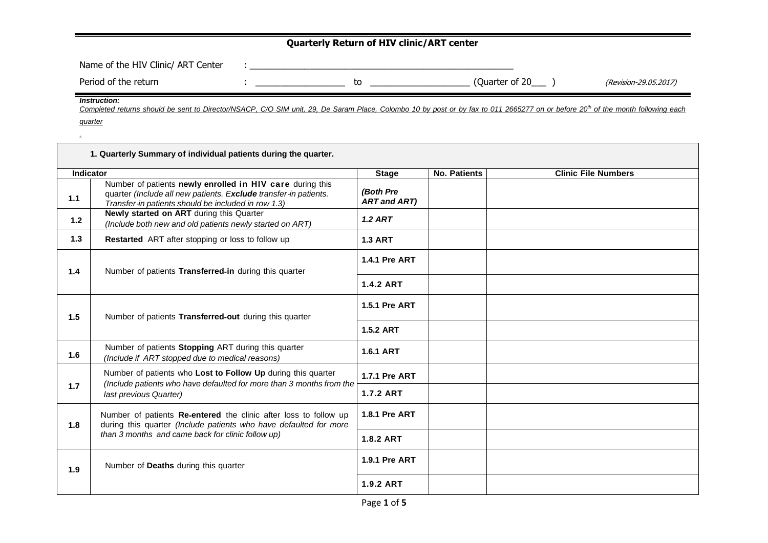## **Quarterly Return of HIV clinic/ART center**

| Name of the HIV Clinic/ ART Center |    |                |                       |
|------------------------------------|----|----------------|-----------------------|
| Period of the return               | СC | (Quarter of 20 | (Revision-29.05.2017) |

*Instruction:*

*.*

Completed returns should be sent to Director/NSACP, C/O SIM unit, 29, De Saram Place, Colombo 10 by post or by fax to 011 2665277 on or before 20<sup>th</sup> of the month following each *quarter*

|           | 1. Quarterly Summary of individual patients during the quarter.                                                                                                                      |                                  |                     |                            |
|-----------|--------------------------------------------------------------------------------------------------------------------------------------------------------------------------------------|----------------------------------|---------------------|----------------------------|
| Indicator |                                                                                                                                                                                      | <b>Stage</b>                     | <b>No. Patients</b> | <b>Clinic File Numbers</b> |
| 1.1       | Number of patients newly enrolled in HIV care during this<br>quarter (Include all new patients. Exclude transfer-in patients.<br>Transfer-in patients should be included in row 1.3) | (Both Pre<br><b>ART and ART)</b> |                     |                            |
| 1.2       | Newly started on ART during this Quarter<br>(Include both new and old patients newly started on ART)                                                                                 | <b>1.2 ART</b>                   |                     |                            |
| 1.3       | Restarted ART after stopping or loss to follow up                                                                                                                                    | <b>1.3 ART</b>                   |                     |                            |
| 1.4       | Number of patients Transferred-in during this quarter                                                                                                                                | <b>1.4.1 Pre ART</b>             |                     |                            |
|           |                                                                                                                                                                                      | <b>1.4.2 ART</b>                 |                     |                            |
| 1.5       | Number of patients Transferred-out during this quarter                                                                                                                               | 1.5.1 Pre ART                    |                     |                            |
|           |                                                                                                                                                                                      | <b>1.5.2 ART</b>                 |                     |                            |
| 1.6       | Number of patients Stopping ART during this quarter<br>(Include if ART stopped due to medical reasons)                                                                               | <b>1.6.1 ART</b>                 |                     |                            |
|           | Number of patients who Lost to Follow Up during this quarter<br>(Include patients who have defaulted for more than 3 months from the                                                 | <b>1.7.1 Pre ART</b>             |                     |                            |
| 1.7       | last previous Quarter)                                                                                                                                                               | <b>1.7.2 ART</b>                 |                     |                            |
| 1.8       | Number of patients Re-entered the clinic after loss to follow up<br>during this quarter (Include patients who have defaulted for more                                                |                                  |                     |                            |
|           | than 3 months and came back for clinic follow up)                                                                                                                                    | <b>1.8.2 ART</b>                 |                     |                            |
| 1.9       | Number of Deaths during this quarter                                                                                                                                                 | <b>1.9.1 Pre ART</b>             |                     |                            |
|           |                                                                                                                                                                                      | 1.9.2 ART                        |                     |                            |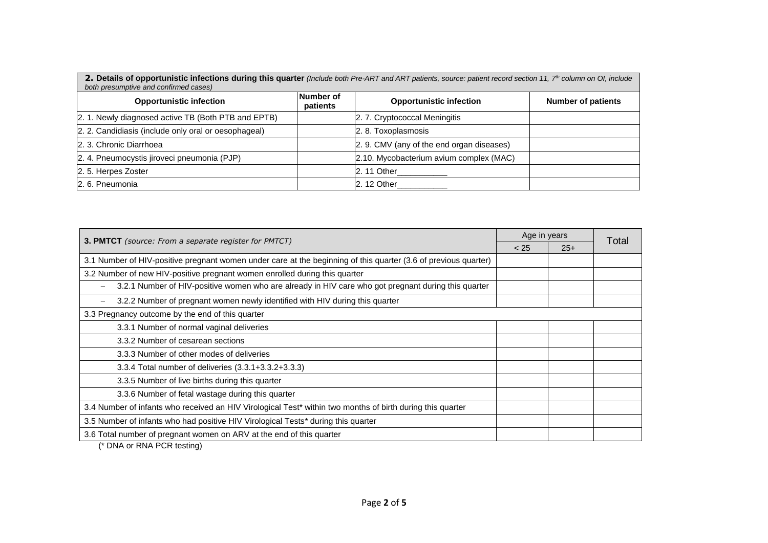**2. Details of opportunistic infections during this quarter** *(Include both Pre-ART and ART patients, source: patient record section 11, 7th column on OI, include both presumptive and confirmed cases)*

| <b>Opportunistic infection</b>                       | Number of<br>patients | <b>Opportunistic infection</b>            | <b>Number of patients</b> |
|------------------------------------------------------|-----------------------|-------------------------------------------|---------------------------|
| 2. 1. Newly diagnosed active TB (Both PTB and EPTB)  |                       | 2. 7. Cryptococcal Meningitis             |                           |
| 2. 2. Candidiasis (include only oral or oesophageal) |                       | 2. 8. Toxoplasmosis                       |                           |
| 2. 3. Chronic Diarrhoea                              |                       | 2. 9. CMV (any of the end organ diseases) |                           |
| 2. 4. Pneumocystis jiroveci pneumonia (PJP)          |                       | 2.10. Mycobacterium avium complex (MAC)   |                           |
| 2.5. Herpes Zoster                                   |                       | $2.11$ Other                              |                           |
| 2.6. Pneumonia                                       |                       | $2.12$ Other                              |                           |

| 3. PMTCT (source: From a separate register for PMTCT)                                                           |  | Age in years |       |
|-----------------------------------------------------------------------------------------------------------------|--|--------------|-------|
|                                                                                                                 |  | $25+$        | Total |
| 3.1 Number of HIV-positive pregnant women under care at the beginning of this quarter (3.6 of previous quarter) |  |              |       |
| 3.2 Number of new HIV-positive pregnant women enrolled during this quarter                                      |  |              |       |
| 3.2.1 Number of HIV-positive women who are already in HIV care who got pregnant during this quarter             |  |              |       |
| 3.2.2 Number of pregnant women newly identified with HIV during this quarter                                    |  |              |       |
| 3.3 Pregnancy outcome by the end of this quarter                                                                |  |              |       |
| 3.3.1 Number of normal vaginal deliveries                                                                       |  |              |       |
| 3.3.2 Number of cesarean sections                                                                               |  |              |       |
| 3.3.3 Number of other modes of deliveries                                                                       |  |              |       |
| 3.3.4 Total number of deliveries (3.3.1+3.3.2+3.3.3)                                                            |  |              |       |
| 3.3.5 Number of live births during this quarter                                                                 |  |              |       |
| 3.3.6 Number of fetal wastage during this quarter                                                               |  |              |       |
| 3.4 Number of infants who received an HIV Virological Test* within two months of birth during this quarter      |  |              |       |
| 3.5 Number of infants who had positive HIV Virological Tests* during this quarter                               |  |              |       |
| 3.6 Total number of pregnant women on ARV at the end of this quarter                                            |  |              |       |

(\* DNA or RNA PCR testing)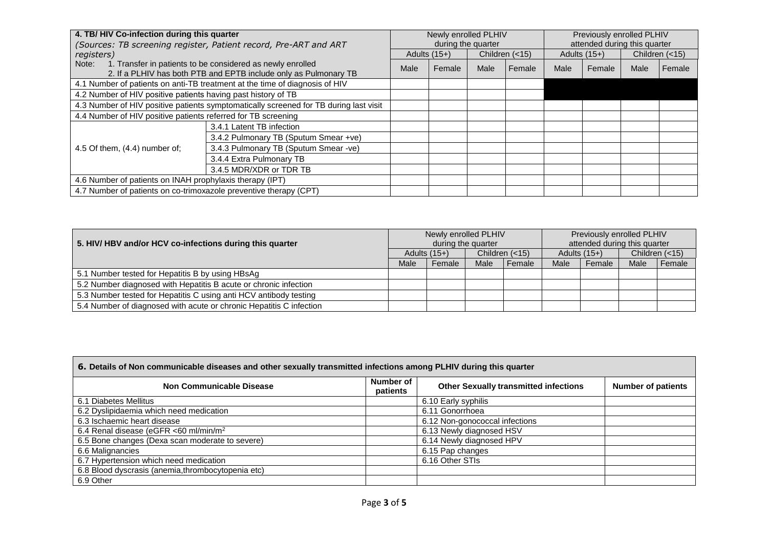| 4. TB/HIV Co-infection during this quarter                        |                                                                                                                                | Newly enrolled PLHIV |                |                    | Previously enrolled PLHIV |                              |        |                |        |
|-------------------------------------------------------------------|--------------------------------------------------------------------------------------------------------------------------------|----------------------|----------------|--------------------|---------------------------|------------------------------|--------|----------------|--------|
| (Sources: TB screening register, Patient record, Pre-ART and ART  |                                                                                                                                |                      |                | during the quarter |                           | attended during this quarter |        |                |        |
| registers)                                                        |                                                                                                                                |                      | Adults $(15+)$ |                    | Children $(<15)$          | Adults $(15+)$               |        | Children (<15) |        |
| Note:                                                             | 1. Transfer in patients to be considered as newly enrolled<br>2. If a PLHIV has both PTB and EPTB include only as Pulmonary TB | Male                 | Female         | Male               | Female                    | Male                         | Female | Male           | Female |
|                                                                   | 4.1 Number of patients on anti-TB treatment at the time of diagnosis of HIV                                                    |                      |                |                    |                           |                              |        |                |        |
| 4.2 Number of HIV positive patients having past history of TB     |                                                                                                                                |                      |                |                    |                           |                              |        |                |        |
|                                                                   | 4.3 Number of HIV positive patients symptomatically screened for TB during last visit                                          |                      |                |                    |                           |                              |        |                |        |
| 4.4 Number of HIV positive patients referred for TB screening     |                                                                                                                                |                      |                |                    |                           |                              |        |                |        |
|                                                                   | 3.4.1 Latent TB infection                                                                                                      |                      |                |                    |                           |                              |        |                |        |
|                                                                   | 3.4.2 Pulmonary TB (Sputum Smear +ve)                                                                                          |                      |                |                    |                           |                              |        |                |        |
| 4.5 Of them, (4.4) number of;                                     | 3.4.3 Pulmonary TB (Sputum Smear -ve)                                                                                          |                      |                |                    |                           |                              |        |                |        |
|                                                                   | 3.4.4 Extra Pulmonary TB                                                                                                       |                      |                |                    |                           |                              |        |                |        |
|                                                                   | 3.4.5 MDR/XDR or TDR TB                                                                                                        |                      |                |                    |                           |                              |        |                |        |
| 4.6 Number of patients on INAH prophylaxis therapy (IPT)          |                                                                                                                                |                      |                |                    |                           |                              |        |                |        |
| 4.7 Number of patients on co-trimoxazole preventive therapy (CPT) |                                                                                                                                |                      |                |                    |                           |                              |        |                |        |

| 5. HIV/ HBV and/or HCV co-infections during this quarter            |                                    | Newly enrolled PLHIV | during the quarter |        |                  | Previously enrolled PLHIV<br>attended during this quarter |      |          |  |
|---------------------------------------------------------------------|------------------------------------|----------------------|--------------------|--------|------------------|-----------------------------------------------------------|------|----------|--|
|                                                                     | Children $(<15)$<br>Adults $(15+)$ |                      | Adults $(15+)$     |        | Children $(<15)$ |                                                           |      |          |  |
|                                                                     | Male                               | Female               | Male               | Female | Male             | Female                                                    | Male | l Female |  |
| 5.1 Number tested for Hepatitis B by using HBsAg                    |                                    |                      |                    |        |                  |                                                           |      |          |  |
| 5.2 Number diagnosed with Hepatitis B acute or chronic infection    |                                    |                      |                    |        |                  |                                                           |      |          |  |
| 5.3 Number tested for Hepatitis C using anti HCV antibody testing   |                                    |                      |                    |        |                  |                                                           |      |          |  |
| 5.4 Number of diagnosed with acute or chronic Hepatitis C infection |                                    |                      |                    |        |                  |                                                           |      |          |  |

## **6. Details of Non communicable diseases and other sexually transmitted infections among PLHIV during this quarter**

| Non Communicable Disease                           | Number of<br>patients | <b>Other Sexually transmitted infections</b> | <b>Number of patients</b> |
|----------------------------------------------------|-----------------------|----------------------------------------------|---------------------------|
| 6.1 Diabetes Mellitus                              |                       | 6.10 Early syphilis                          |                           |
| 6.2 Dyslipidaemia which need medication            |                       | 6.11 Gonorrhoea                              |                           |
| 6.3 Ischaemic heart disease                        |                       | 6.12 Non-gonococcal infections               |                           |
| 6.4 Renal disease (eGFR <60 ml/min/m <sup>2</sup>  |                       | 6.13 Newly diagnosed HSV                     |                           |
| 6.5 Bone changes (Dexa scan moderate to severe)    |                       | 6.14 Newly diagnosed HPV                     |                           |
| 6.6 Malignancies                                   |                       | 6.15 Pap changes                             |                           |
| 6.7 Hypertension which need medication             |                       | 6.16 Other STIs                              |                           |
| 6.8 Blood dyscrasis (anemia, thrombocytopenia etc) |                       |                                              |                           |
| 6.9 Other                                          |                       |                                              |                           |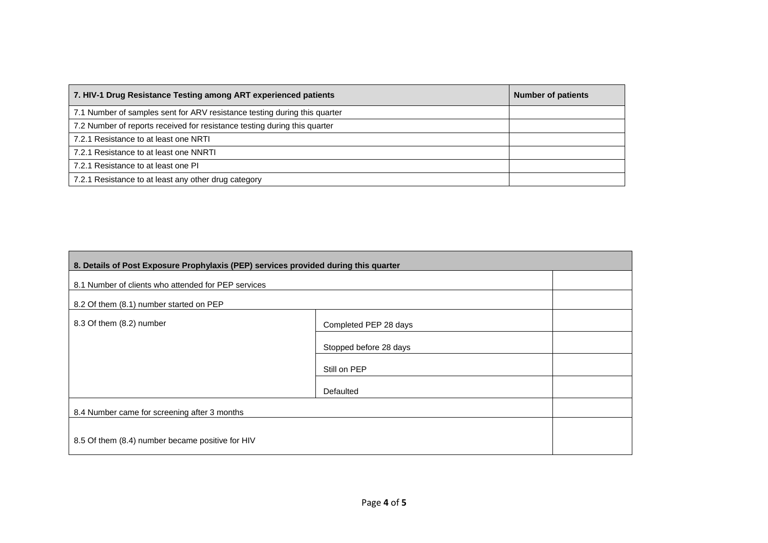| 7. HIV-1 Drug Resistance Testing among ART experienced patients           | <b>Number of patients</b> |
|---------------------------------------------------------------------------|---------------------------|
| 7.1 Number of samples sent for ARV resistance testing during this quarter |                           |
| 7.2 Number of reports received for resistance testing during this quarter |                           |
| 7.2.1 Resistance to at least one NRTI                                     |                           |
| 7.2.1 Resistance to at least one NNRTI                                    |                           |
| 7.2.1 Resistance to at least one PI                                       |                           |
| 7.2.1 Resistance to at least any other drug category                      |                           |

| 8. Details of Post Exposure Prophylaxis (PEP) services provided during this quarter |                        |  |  |  |
|-------------------------------------------------------------------------------------|------------------------|--|--|--|
| 8.1 Number of clients who attended for PEP services                                 |                        |  |  |  |
| 8.2 Of them (8.1) number started on PEP                                             |                        |  |  |  |
| 8.3 Of them (8.2) number                                                            |                        |  |  |  |
|                                                                                     | Stopped before 28 days |  |  |  |
|                                                                                     | Still on PEP           |  |  |  |
|                                                                                     | Defaulted              |  |  |  |
| 8.4 Number came for screening after 3 months                                        |                        |  |  |  |
| 8.5 Of them (8.4) number became positive for HIV                                    |                        |  |  |  |